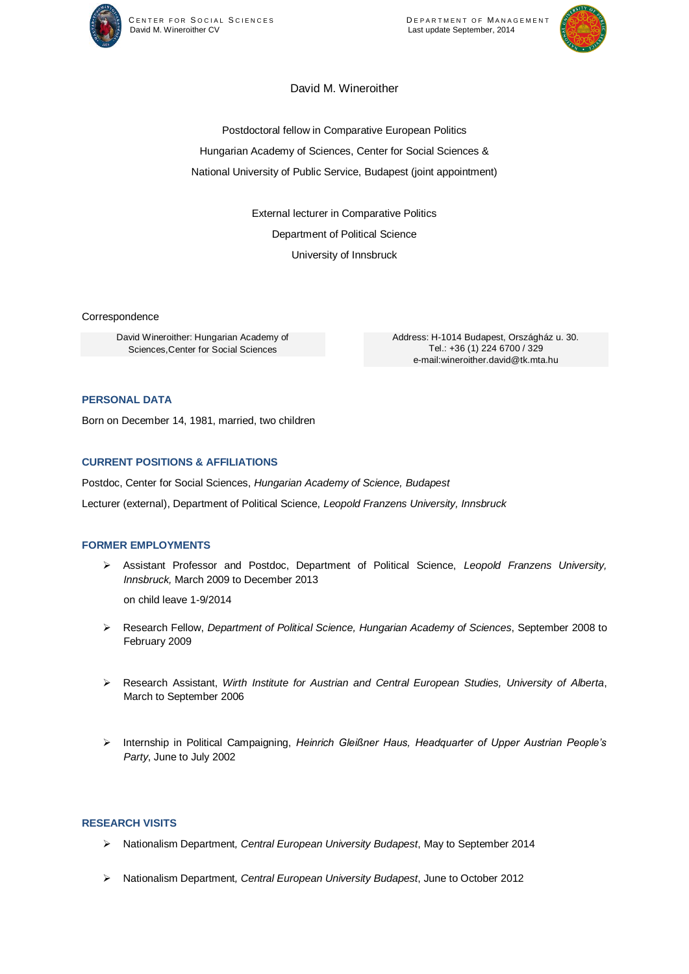



# David M. Wineroither

Postdoctoral fellow in Comparative European Politics Hungarian Academy of Sciences, Center for Social Sciences & National University of Public Service, Budapest (joint appointment)

> External lecturer in Comparative Politics Department of Political Science University of Innsbruck

Correspondence

David Wineroither: Hungarian Academy of Sciences,Center for Social Sciences

Address: H-1014 Budapest, Országház u. 30. Tel.: +36 (1) 224 6700 / 329 e-mail:wineroither.david@tk.mta.hu

## **PERSONAL DATA**

Born on December 14, 1981, married, two children

#### **CURRENT POSITIONS & AFFILIATIONS**

Postdoc, Center for Social Sciences, *Hungarian Academy of Science, Budapest*

Lecturer (external), Department of Political Science, *Leopold Franzens University, Innsbruck*

#### **FORMER EMPLOYMENTS**

 Assistant Professor and Postdoc, Department of Political Science, *Leopold Franzens University, Innsbruck,* March 2009 to December 2013

on child leave 1-9/2014

- Research Fellow, *Department of Political Science, Hungarian Academy of Sciences*, September 2008 to February 2009
- Research Assistant, *Wirth Institute for Austrian and Central European Studies, University of Alberta*, March to September 2006
- Internship in Political Campaigning, *Heinrich Gleißner Haus, Headquarter of Upper Austrian People's Party*, June to July 2002

#### **RESEARCH VISITS**

- Nationalism Department*, Central European University Budapest*, May to September 2014
- Nationalism Department*, Central European University Budapest*, June to October 2012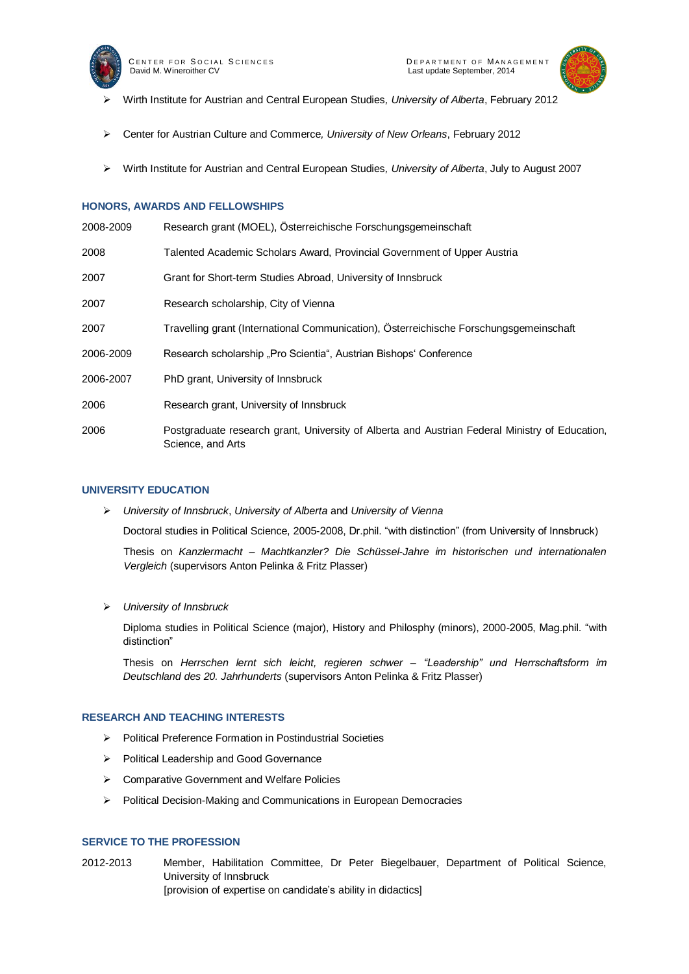



- Wirth Institute for Austrian and Central European Studies*, University of Alberta*, February 2012
- Center for Austrian Culture and Commerce*, University of New Orleans*, February 2012
- Wirth Institute for Austrian and Central European Studies*, University of Alberta*, July to August 2007

#### **HONORS, AWARDS AND FELLOWSHIPS**

| 2008-2009 | Research grant (MOEL), Österreichische Forschungsgemeinschaft                                                       |
|-----------|---------------------------------------------------------------------------------------------------------------------|
| 2008      | Talented Academic Scholars Award, Provincial Government of Upper Austria                                            |
| 2007      | Grant for Short-term Studies Abroad, University of Innsbruck                                                        |
| 2007      | Research scholarship, City of Vienna                                                                                |
| 2007      | Travelling grant (International Communication), Österreichische Forschungsgemeinschaft                              |
| 2006-2009 | Research scholarship "Pro Scientia", Austrian Bishops' Conference                                                   |
| 2006-2007 | PhD grant, University of Innsbruck                                                                                  |
| 2006      | Research grant, University of Innsbruck                                                                             |
| 2006      | Postgraduate research grant, University of Alberta and Austrian Federal Ministry of Education,<br>Science, and Arts |

#### **UNIVERSITY EDUCATION**

*University of Innsbruck*, *University of Alberta* and *University of Vienna*

Doctoral studies in Political Science, 2005-2008, Dr.phil. "with distinction" (from University of Innsbruck)

Thesis on *Kanzlermacht – Machtkanzler? Die Schüssel-Jahre im historischen und internationalen Vergleich* (supervisors Anton Pelinka & Fritz Plasser)

*University of Innsbruck*

Diploma studies in Political Science (major), History and Philosphy (minors), 2000-2005, Mag.phil. "with distinction"

Thesis on *Herrschen lernt sich leicht, regieren schwer – "Leadership" und Herrschaftsform im Deutschland des 20. Jahrhunderts* (supervisors Anton Pelinka & Fritz Plasser)

#### **RESEARCH AND TEACHING INTERESTS**

- Political Preference Formation in Postindustrial Societies
- Political Leadership and Good Governance
- $\triangleright$  Comparative Government and Welfare Policies
- Political Decision-Making and Communications in European Democracies

### **SERVICE TO THE PROFESSION**

2012-2013 Member, Habilitation Committee, Dr Peter Biegelbauer, Department of Political Science, University of Innsbruck [provision of expertise on candidate's ability in didactics]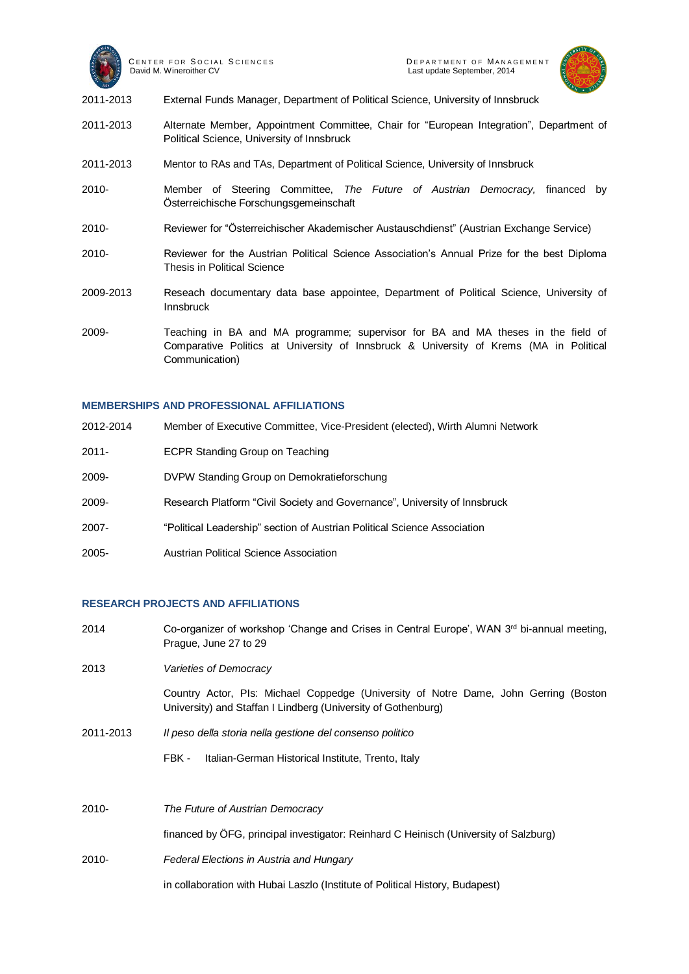



- 2011-2013 External Funds Manager, Department of Political Science, University of Innsbruck
- 2011-2013 Alternate Member, Appointment Committee, Chair for "European Integration", Department of Political Science, University of Innsbruck
- 2011-2013 Mentor to RAs and TAs, Department of Political Science, University of Innsbruck
- 2010- Member of Steering Committee, *The Future of Austrian Democracy,* financed by Österreichische Forschungsgemeinschaft
- 2010- Reviewer for "Österreichischer Akademischer Austauschdienst" (Austrian Exchange Service)
- 2010- Reviewer for the Austrian Political Science Association's Annual Prize for the best Diploma Thesis in Political Science
- 2009-2013 Reseach documentary data base appointee, Department of Political Science, University of Innsbruck
- 2009- Teaching in BA and MA programme; supervisor for BA and MA theses in the field of Comparative Politics at University of Innsbruck & University of Krems (MA in Political Communication)

#### **MEMBERSHIPS AND PROFESSIONAL AFFILIATIONS**

| 2012-2014 | Member of Executive Committee, Vice-President (elected), Wirth Alumni Network |
|-----------|-------------------------------------------------------------------------------|
| $2011 -$  | <b>ECPR Standing Group on Teaching</b>                                        |
| 2009-     | DVPW Standing Group on Demokratieforschung                                    |
| 2009-     | Research Platform "Civil Society and Governance", University of Innsbruck     |
| $2007 -$  | "Political Leadership" section of Austrian Political Science Association      |
| 2005-     | <b>Austrian Political Science Association</b>                                 |

### **RESEARCH PROJECTS AND AFFILIATIONS**

2014 Co-organizer of workshop 'Change and Crises in Central Europe', WAN 3<sup>rd</sup> bi-annual meeting, Prague, June 27 to 29 2013 *Varieties of Democracy* Country Actor, PIs: Michael Coppedge (University of Notre Dame, John Gerring (Boston University) and Staffan I Lindberg (University of Gothenburg) 2011-2013 *Il peso della storia nella gestione del consenso politico*  FBK - Italian-German Historical Institute, Trento, Italy 2010- *The Future of Austrian Democracy* financed by ÖFG, principal investigator: Reinhard C Heinisch (University of Salzburg) 2010- *Federal Elections in Austria and Hungary* in collaboration with Hubai Laszlo (Institute of Political History, Budapest)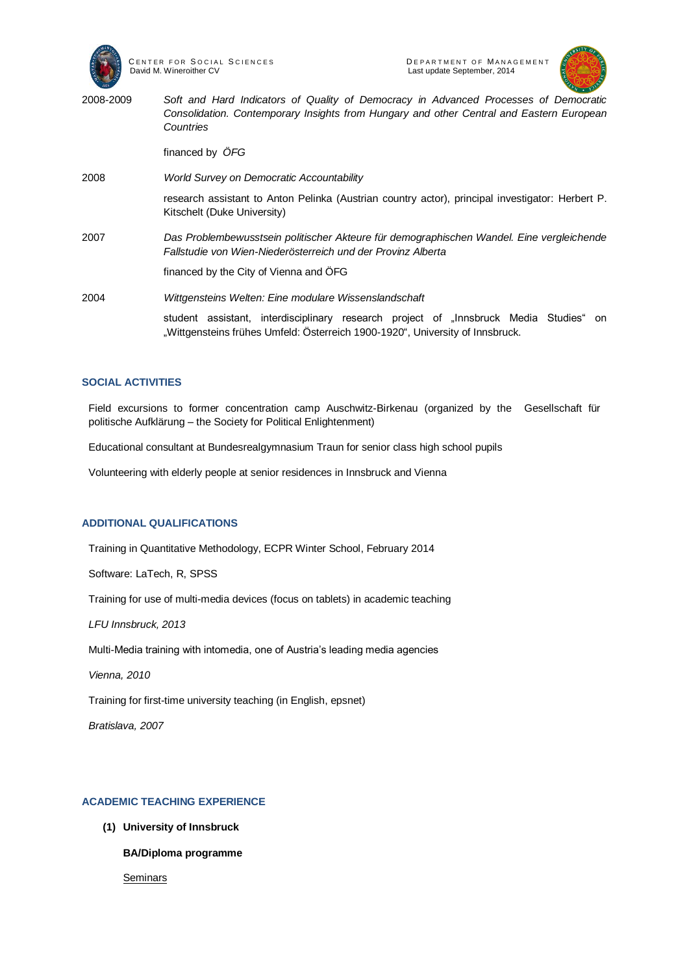



2008-2009 *Soft and Hard Indicators of Quality of Democracy in Advanced Processes of Democratic Consolidation. Contemporary Insights from Hungary and other Central and Eastern European Countries* financed by *ÖFG* 2008 *World Survey on Democratic Accountability* research assistant to Anton Pelinka (Austrian country actor), principal investigator: Herbert P. Kitschelt (Duke University) 2007 *Das Problembewusstsein politischer Akteure für demographischen Wandel. Eine vergleichende Fallstudie von Wien-Niederösterreich und der Provinz Alberta* financed by the City of Vienna and ÖFG 2004 *Wittgensteins Welten: Eine modulare Wissenslandschaft* student assistant, interdisciplinary research project of "Innsbruck Media Studies" on "Wittgensteins frühes Umfeld: Österreich 1900-1920", University of Innsbruck.

### **SOCIAL ACTIVITIES**

Field excursions to former concentration camp Auschwitz-Birkenau (organized by the Gesellschaft für politische Aufklärung – the Society for Political Enlightenment)

Educational consultant at Bundesrealgymnasium Traun for senior class high school pupils

Volunteering with elderly people at senior residences in Innsbruck and Vienna

### **ADDITIONAL QUALIFICATIONS**

Training in Quantitative Methodology, ECPR Winter School, February 2014

Software: LaTech, R, SPSS

Training for use of multi-media devices (focus on tablets) in academic teaching

*LFU Innsbruck, 2013*

Multi-Media training with intomedia, one of Austria's leading media agencies

*Vienna, 2010*

Training for first-time university teaching (in English, epsnet)

*Bratislava, 2007*

### **ACADEMIC TEACHING EXPERIENCE**

**(1) University of Innsbruck**

**BA/Diploma programme** 

**Seminars**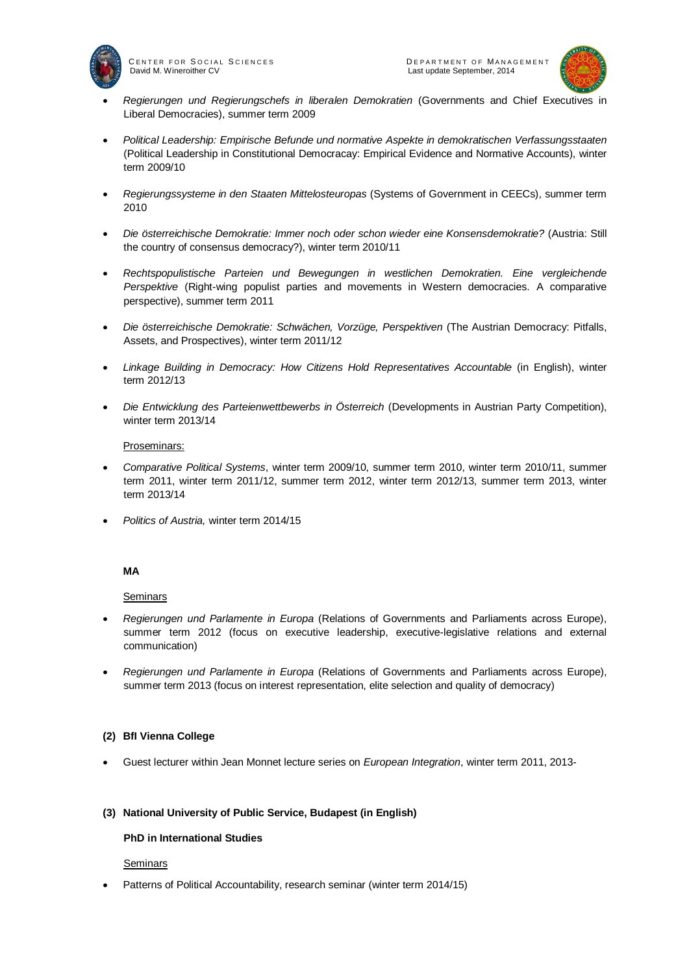

<sup>C</sup> E N T E R F O R <sup>S</sup> O C I A L <sup>S</sup> C I E N C E S <sup>D</sup> E P A R T M E N T O F <sup>M</sup> A N A G E M E N T



- *Regierungen und Regierungschefs in liberalen Demokratien* (Governments and Chief Executives in Liberal Democracies), summer term 2009
- *Political Leadership: Empirische Befunde und normative Aspekte in demokratischen Verfassungsstaaten* (Political Leadership in Constitutional Democracay: Empirical Evidence and Normative Accounts), winter term 2009/10
- *Regierungssysteme in den Staaten Mittelosteuropas* (Systems of Government in CEECs), summer term 2010
- *Die österreichische Demokratie: Immer noch oder schon wieder eine Konsensdemokratie?* (Austria: Still the country of consensus democracy?), winter term 2010/11
- *Rechtspopulistische Parteien und Bewegungen in westlichen Demokratien. Eine vergleichende Perspektive* (Right-wing populist parties and movements in Western democracies. A comparative perspective), summer term 2011
- *Die österreichische Demokratie: Schwächen, Vorzüge, Perspektiven* (The Austrian Democracy: Pitfalls, Assets, and Prospectives), winter term 2011/12
- *Linkage Building in Democracy: How Citizens Hold Representatives Accountable* (in English), winter term 2012/13
- *Die Entwicklung des Parteienwettbewerbs in Österreich* (Developments in Austrian Party Competition), winter term 2013/14

### Proseminars:

- *Comparative Political Systems*, winter term 2009/10, summer term 2010, winter term 2010/11, summer term 2011, winter term 2011/12, summer term 2012, winter term 2012/13, summer term 2013, winter term 2013/14
- *Politics of Austria,* winter term 2014/15

### **MA**

### **Seminars**

- *Regierungen und Parlamente in Europa* (Relations of Governments and Parliaments across Europe), summer term 2012 (focus on executive leadership, executive-legislative relations and external communication)
- *Regierungen und Parlamente in Europa* (Relations of Governments and Parliaments across Europe), summer term 2013 (focus on interest representation, elite selection and quality of democracy)

### **(2) BfI Vienna College**

Guest lecturer within Jean Monnet lecture series on *European Integration*, winter term 2011, 2013-

#### **(3) National University of Public Service, Budapest (in English)**

### **PhD in International Studies**

### **Seminars**

Patterns of Political Accountability, research seminar (winter term 2014/15)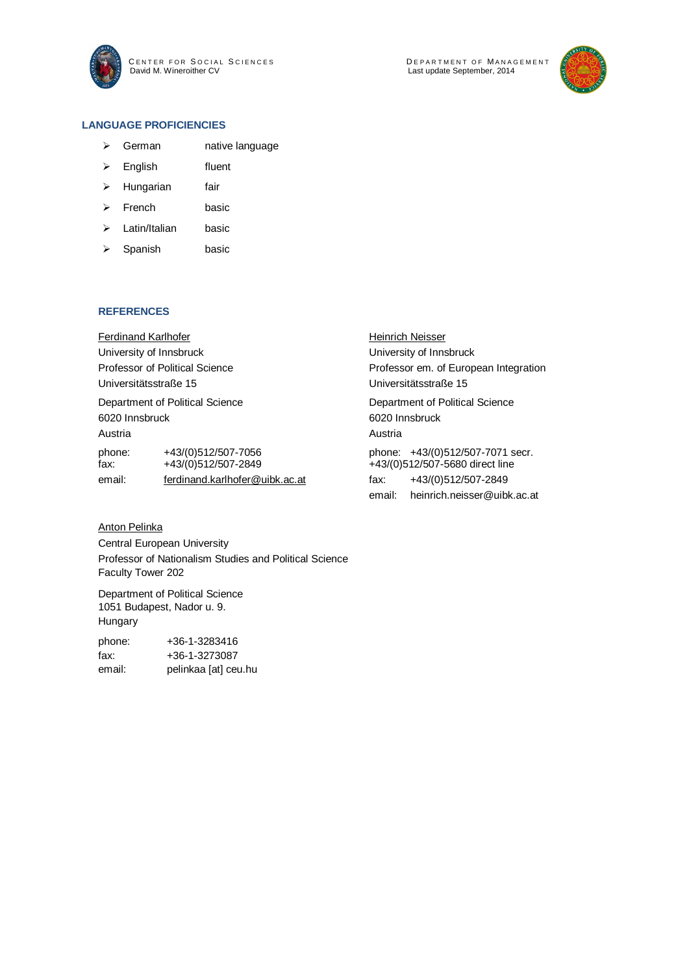

CENTER FOR SOCIAL SCIENCES DEPARTMENT OF MANAGEMENT DEFARTMENT OF WANAS<br>Last update September, 2014



### **LANGUAGE PROFICIENCIES**

- > German native language
- > English fluent
- > Hungarian fair
- > French basic
- > Latin/Italian basic
- $\triangleright$  Spanish basic

#### **REFERENCES**

| <b>Ferdinand Karlhofer</b>      |                                            | <b>Heinrich Neisser</b>               |                                                                     |  |
|---------------------------------|--------------------------------------------|---------------------------------------|---------------------------------------------------------------------|--|
| University of Innsbruck         |                                            | University of Innsbruck               |                                                                     |  |
| Professor of Political Science  |                                            | Professor em. of European Integration |                                                                     |  |
| Universitätsstraße 15           |                                            | Universitätsstraße 15                 |                                                                     |  |
| Department of Political Science |                                            | Department of Political Science       |                                                                     |  |
| 6020 Innsbruck                  |                                            | 6020 Innsbruck                        |                                                                     |  |
| Austria                         |                                            | Austria                               |                                                                     |  |
| phone:<br>fax:                  | +43/(0)512/507-7056<br>+43/(0)512/507-2849 |                                       | phone: +43/(0)512/507-7071 secr.<br>+43/(0)512/507-5680 direct line |  |
| email:                          | ferdinand.karlhofer@uibk.ac.at             | fax:                                  | +43/(0)512/507-2849                                                 |  |
|                                 |                                            | email:                                | heinrich.neisser@uibk.ac.at                                         |  |

## Anton Pelinka

Central European University Professor of Nationalism Studies and Political Science Faculty Tower 202

Department of Political Science 1051 Budapest, Nador u. 9. Hungary

| phone: | +36-1-3283416        |
|--------|----------------------|
| fax:   | +36-1-3273087        |
| email: | pelinkaa [at] ceu.hu |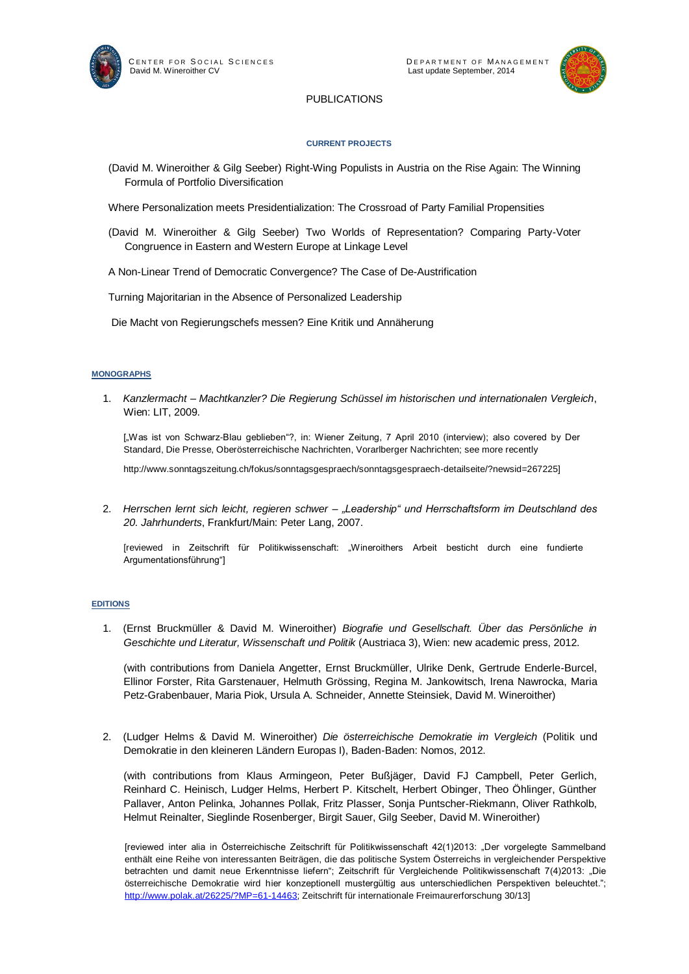



## PUBLICATIONS

#### **CURRENT PROJECTS**

- (David M. Wineroither & Gilg Seeber) Right-Wing Populists in Austria on the Rise Again: The Winning Formula of Portfolio Diversification
- Where Personalization meets Presidentialization: The Crossroad of Party Familial Propensities
- (David M. Wineroither & Gilg Seeber) Two Worlds of Representation? Comparing Party-Voter Congruence in Eastern and Western Europe at Linkage Level

A Non-Linear Trend of Democratic Convergence? The Case of De-Austrification

Turning Majoritarian in the Absence of Personalized Leadership

Die Macht von Regierungschefs messen? Eine Kritik und Annäherung

#### **MONOGRAPHS**

1. *Kanzlermacht – Machtkanzler? Die Regierung Schüssel im historischen und internationalen Vergleich*, Wien: LIT, 2009.

["Was ist von Schwarz-Blau geblieben"?, in: Wiener Zeitung, 7 April 2010 (interview); also covered by Der Standard, Die Presse, Oberösterreichische Nachrichten, Vorarlberger Nachrichten; see more recently

http://www.sonntagszeitung.ch/fokus/sonntagsgespraech/sonntagsgespraech-detailseite/?newsid=267225]

2. *Herrschen lernt sich leicht, regieren schwer – "Leadership" und Herrschaftsform im Deutschland des 20. Jahrhunderts*, Frankfurt/Main: Peter Lang, 2007.

[reviewed in Zeitschrift für Politikwissenschaft: "Wineroithers Arbeit besticht durch eine fundierte Argumentationsführung"]

#### **EDITIONS**

1. (Ernst Bruckmüller & David M. Wineroither) *Biografie und Gesellschaft. Über das Persönliche in Geschichte und Literatur, Wissenschaft und Politik* (Austriaca 3), Wien: new academic press, 2012.

(with contributions from Daniela Angetter, Ernst Bruckmüller, Ulrike Denk, Gertrude Enderle-Burcel, Ellinor Forster, Rita Garstenauer, Helmuth Grössing, Regina M. Jankowitsch, Irena Nawrocka, Maria Petz-Grabenbauer, Maria Piok, Ursula A. Schneider, Annette Steinsiek, David M. Wineroither)

2. (Ludger Helms & David M. Wineroither) *Die österreichische Demokratie im Vergleich* (Politik und Demokratie in den kleineren Ländern Europas I), Baden-Baden: Nomos, 2012.

(with contributions from Klaus Armingeon, Peter Bußjäger, David FJ Campbell, Peter Gerlich, Reinhard C. Heinisch, Ludger Helms, Herbert P. Kitschelt, Herbert Obinger, Theo Öhlinger, Günther Pallaver, Anton Pelinka, Johannes Pollak, Fritz Plasser, Sonja Puntscher-Riekmann, Oliver Rathkolb, Helmut Reinalter, Sieglinde Rosenberger, Birgit Sauer, Gilg Seeber, David M. Wineroither)

[reviewed inter alia in Österreichische Zeitschrift für Politikwissenschaft 42(1)2013: "Der vorgelegte Sammelband enthält eine Reihe von interessanten Beiträgen, die das politische System Österreichs in vergleichender Perspektive betrachten und damit neue Erkenntnisse liefern"; Zeitschrift für Vergleichende Politikwissenschaft 7(4)2013: "Die österreichische Demokratie wird hier konzeptionell mustergültig aus unterschiedlichen Perspektiven beleuchtet."; [http://www.polak.at/26225/?MP=61-14463;](http://www.polak.at/26225/?MP=61-14463) Zeitschrift für internationale Freimaurerforschung 30/13]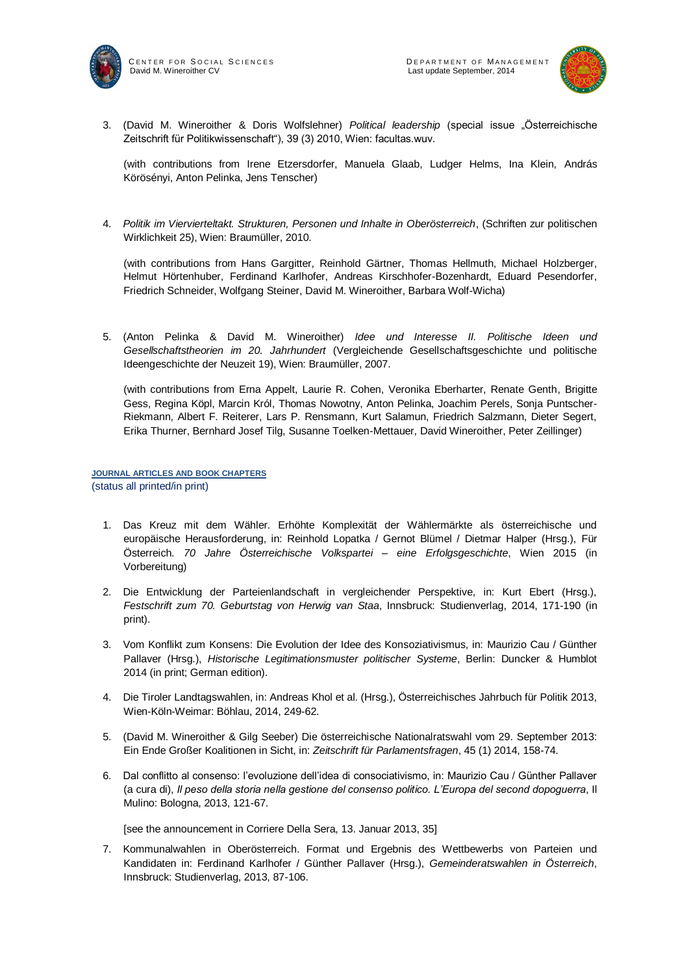



3. (David M. Wineroither & Doris Wolfslehner) *Political leadership* (special issue "Österreichische Zeitschrift für Politikwissenschaft"), 39 (3) 2010, Wien: facultas.wuv.

(with contributions from Irene Etzersdorfer, Manuela Glaab, Ludger Helms, Ina Klein, András Körösényi, Anton Pelinka, Jens Tenscher)

4. *Politik im Viervierteltakt. Strukturen, Personen und Inhalte in Oberösterreich*, (Schriften zur politischen Wirklichkeit 25), Wien: Braumüller, 2010.

(with contributions from Hans Gargitter, Reinhold Gärtner, Thomas Hellmuth, Michael Holzberger, Helmut Hörtenhuber, Ferdinand Karlhofer, Andreas Kirschhofer-Bozenhardt, Eduard Pesendorfer, Friedrich Schneider, Wolfgang Steiner, David M. Wineroither, Barbara Wolf-Wicha)

5. (Anton Pelinka & David M. Wineroither) *Idee und Interesse II. Politische Ideen und Gesellschaftstheorien im 20. Jahrhundert* (Vergleichende Gesellschaftsgeschichte und politische Ideengeschichte der Neuzeit 19), Wien: Braumüller, 2007.

(with contributions from Erna Appelt, Laurie R. Cohen, Veronika Eberharter, Renate Genth, Brigitte Gess, Regina Köpl, Marcin Król, Thomas Nowotny, Anton Pelinka, Joachim Perels, Sonja Puntscher-Riekmann, Albert F. Reiterer, Lars P. Rensmann, Kurt Salamun, Friedrich Salzmann, Dieter Segert, Erika Thurner, Bernhard Josef Tilg, Susanne Toelken-Mettauer, David Wineroither, Peter Zeillinger)

#### **JOURNAL ARTICLES AND BOOK CHAPTERS**  (status all printed/in print)

- 1. Das Kreuz mit dem Wähler. Erhöhte Komplexität der Wählermärkte als österreichische und europäische Herausforderung, in: Reinhold Lopatka / Gernot Blümel / Dietmar Halper (Hrsg.), Für Österreich. *70 Jahre Österreichische Volkspartei – eine Erfolgsgeschichte*, Wien 2015 (in Vorbereitung)
- 2. Die Entwicklung der Parteienlandschaft in vergleichender Perspektive, in: Kurt Ebert (Hrsg.), *Festschrift zum 70. Geburtstag von Herwig van Staa*, Innsbruck: Studienverlag, 2014, 171-190 (in print).
- 3. Vom Konflikt zum Konsens: Die Evolution der Idee des Konsoziativismus, in: Maurizio Cau / Günther Pallaver (Hrsg.), *Historische Legitimationsmuster politischer Systeme*, Berlin: Duncker & Humblot 2014 (in print; German edition).
- 4. Die Tiroler Landtagswahlen, in: Andreas Khol et al. (Hrsg.), Österreichisches Jahrbuch für Politik 2013, Wien-Köln-Weimar: Böhlau, 2014, 249-62.
- 5. (David M. Wineroither & Gilg Seeber) Die österreichische Nationalratswahl vom 29. September 2013: Ein Ende Großer Koalitionen in Sicht, in: *Zeitschrift für Parlamentsfragen*, 45 (1) 2014, 158-74.
- 6. Dal conflitto al consenso: l'evoluzione dell'idea di consociativismo, in: Maurizio Cau / Günther Pallaver (a cura di), *Il peso della storia nella gestione del consenso politico. L'Europa del second dopoguerra*, Il Mulino: Bologna, 2013, 121-67.

[see the announcement in Corriere Della Sera, 13. Januar 2013, 35]

7. Kommunalwahlen in Oberösterreich. Format und Ergebnis des Wettbewerbs von Parteien und Kandidaten in: Ferdinand Karlhofer / Günther Pallaver (Hrsg.), *Gemeinderatswahlen in Österreich*, Innsbruck: Studienverlag, 2013, 87-106.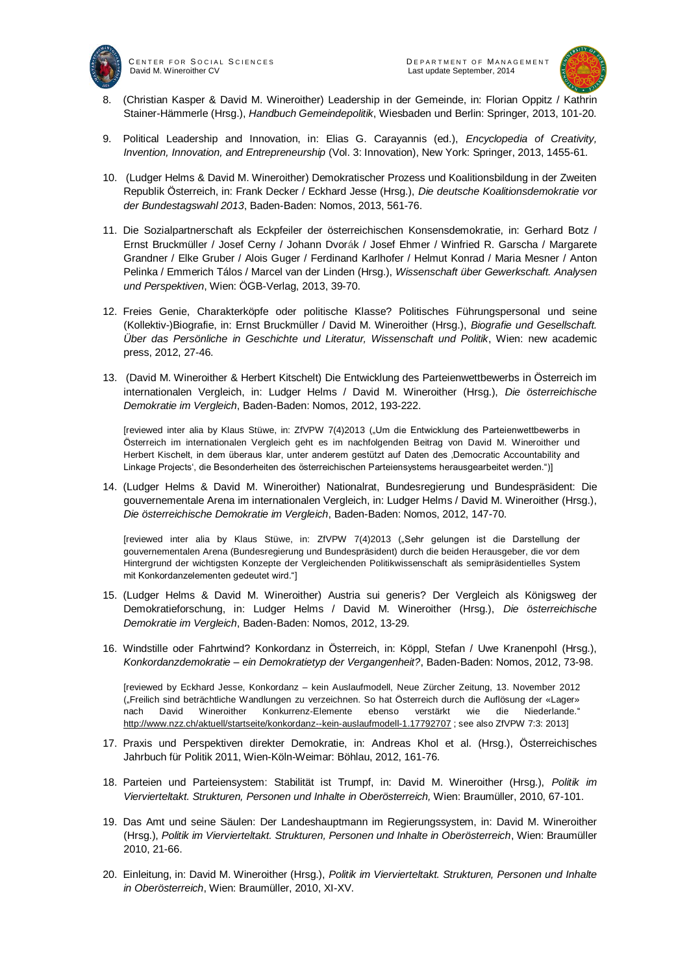

CENTER FOR SOCIAL SCIENCES<br>
David M. Wineroither CV<br>
David M. Wineroither CV David M. Wineroither CV



- 8. (Christian Kasper & David M. Wineroither) Leadership in der Gemeinde, in: Florian Oppitz / Kathrin Stainer-Hämmerle (Hrsg.), *Handbuch Gemeindepolitik*, Wiesbaden und Berlin: Springer, 2013, 101-20.
- 9. Political Leadership and Innovation, in: Elias G. Carayannis (ed.), *Encyclopedia of Creativity, Invention, Innovation, and Entrepreneurship* (Vol. 3: Innovation), New York: Springer, 2013, 1455-61.
- 10. (Ludger Helms & David M. Wineroither) Demokratischer Prozess und Koalitionsbildung in der Zweiten Republik Österreich, in: Frank Decker / Eckhard Jesse (Hrsg.), *Die deutsche Koalitionsdemokratie vor der Bundestagswahl 2013*, Baden-Baden: Nomos, 2013, 561-76.
- 11. Die Sozialpartnerschaft als Eckpfeiler der österreichischen Konsensdemokratie, in: Gerhard Botz / Ernst Bruckmüller / Josef Cerny / Johann Dvorák / Josef Ehmer / Winfried R. Garscha / Margarete Grandner / Elke Gruber / Alois Guger / Ferdinand Karlhofer / Helmut Konrad / Maria Mesner / Anton Pelinka / Emmerich Tálos / Marcel van der Linden (Hrsg.), *Wissenschaft über Gewerkschaft. Analysen und Perspektiven*, Wien: ÖGB-Verlag, 2013, 39-70.
- 12. Freies Genie, Charakterköpfe oder politische Klasse? Politisches Führungspersonal und seine (Kollektiv-)Biografie, in: Ernst Bruckmüller / David M. Wineroither (Hrsg.), *Biografie und Gesellschaft. Über das Persönliche in Geschichte und Literatur, Wissenschaft und Politik*, Wien: new academic press, 2012, 27-46.
- 13. (David M. Wineroither & Herbert Kitschelt) Die Entwicklung des Parteienwettbewerbs in Österreich im internationalen Vergleich, in: Ludger Helms / David M. Wineroither (Hrsg.), *Die österreichische Demokratie im Vergleich*, Baden-Baden: Nomos, 2012, 193-222.

[reviewed inter alia by Klaus Stüwe, in: ZfVPW 7(4)2013 ("Um die Entwicklung des Parteienwettbewerbs in Österreich im internationalen Vergleich geht es im nachfolgenden Beitrag von David M. Wineroither und Herbert Kischelt, in dem überaus klar, unter anderem gestützt auf Daten des 'Democratic Accountability and Linkage Projects', die Besonderheiten des österreichischen Parteiensystems herausgearbeitet werden.")]

14. (Ludger Helms & David M. Wineroither) Nationalrat, Bundesregierung und Bundespräsident: Die gouvernementale Arena im internationalen Vergleich, in: Ludger Helms / David M. Wineroither (Hrsg.), *Die österreichische Demokratie im Vergleich*, Baden-Baden: Nomos, 2012, 147-70.

[reviewed inter alia by Klaus Stüwe, in: ZfVPW 7(4)2013 ("Sehr gelungen ist die Darstellung der gouvernementalen Arena (Bundesregierung und Bundespräsident) durch die beiden Herausgeber, die vor dem Hintergrund der wichtigsten Konzepte der Vergleichenden Politikwissenschaft als semipräsidentielles System mit Konkordanzelementen gedeutet wird."]

- 15. (Ludger Helms & David M. Wineroither) Austria sui generis? Der Vergleich als Königsweg der Demokratieforschung, in: Ludger Helms / David M. Wineroither (Hrsg.), *Die österreichische Demokratie im Vergleich*, Baden-Baden: Nomos, 2012, 13-29.
- 16. Windstille oder Fahrtwind? Konkordanz in Österreich, in: Köppl, Stefan / Uwe Kranenpohl (Hrsg.), *Konkordanzdemokratie – ein Demokratietyp der Vergangenheit?*, Baden-Baden: Nomos, 2012, 73-98.

[reviewed by Eckhard Jesse, Konkordanz – kein Auslaufmodell, Neue Zürcher Zeitung, 13. November 2012 ("Freilich sind beträchtliche Wandlungen zu verzeichnen. So hat Österreich durch die Auflösung der «Lager» nach David Wineroither Konkurrenz-Elemente ebenso verstärkt wie die Niederlande." <http://www.nzz.ch/aktuell/startseite/konkordanz--kein-auslaufmodell-1.17792707> ; see also ZfVPW 7:3: 2013]

- 17. Praxis und Perspektiven direkter Demokratie, in: Andreas Khol et al. (Hrsg.), Österreichisches Jahrbuch für Politik 2011, Wien-Köln-Weimar: Böhlau, 2012, 161-76.
- 18. Parteien und Parteiensystem: Stabilität ist Trumpf, in: David M. Wineroither (Hrsg.), *Politik im Viervierteltakt. Strukturen, Personen und Inhalte in Oberösterreich,* Wien: Braumüller, 2010, 67-101.
- 19. Das Amt und seine Säulen: Der Landeshauptmann im Regierungssystem, in: David M. Wineroither (Hrsg.), *Politik im Viervierteltakt. Strukturen, Personen und Inhalte in Oberösterreich*, Wien: Braumüller 2010, 21-66.
- 20. Einleitung, in: David M. Wineroither (Hrsg.), *Politik im Viervierteltakt. Strukturen, Personen und Inhalte in Oberösterreich*, Wien: Braumüller, 2010, XI-XV.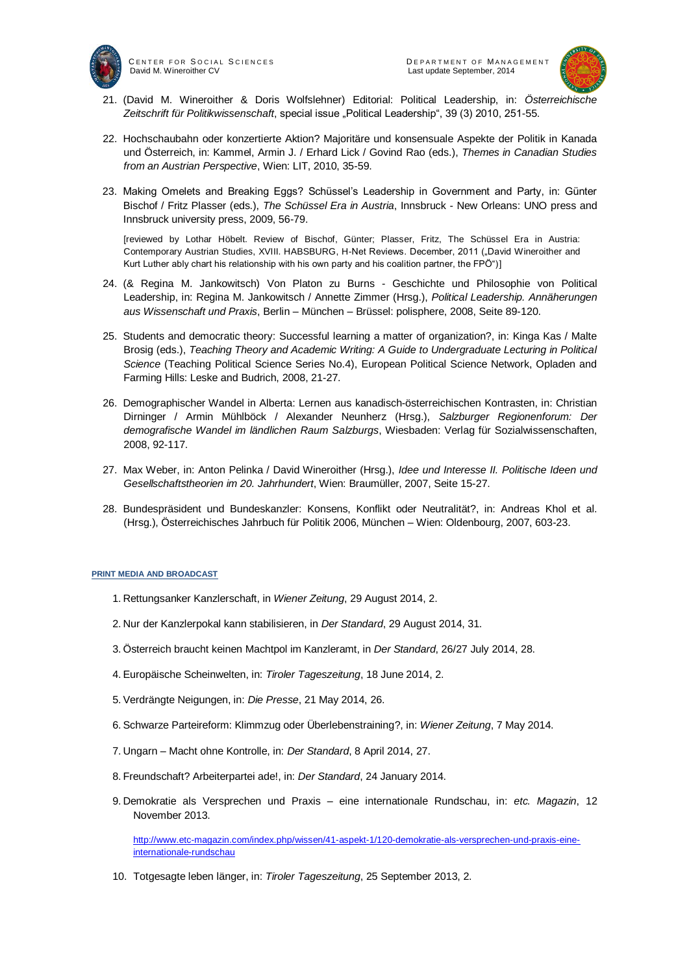

CENTER FOR SOCIAL SCIENCES<br>
David M. Wineroither CV<br>
Last update September, 2014 David M. Wineroither CV



- 21. (David M. Wineroither & Doris Wolfslehner) Editorial: Political Leadership, in: *Österreichische*  Zeitschrift für Politikwissenschaft, special issue "Political Leadership", 39 (3) 2010, 251-55.
- 22. Hochschaubahn oder konzertierte Aktion? Majoritäre und konsensuale Aspekte der Politik in Kanada und Österreich, in: Kammel, Armin J. / Erhard Lick / Govind Rao (eds.), *Themes in Canadian Studies from an Austrian Perspective*, Wien: LIT, 2010, 35-59.
- 23. Making Omelets and Breaking Eggs? Schüssel's Leadership in Government and Party, in: Günter Bischof / Fritz Plasser (eds.), *The Schüssel Era in Austria*, Innsbruck - New Orleans: UNO press and Innsbruck university press, 2009, 56-79.

[reviewed by Lothar Höbelt. Review of Bischof, Günter; Plasser, Fritz, The Schüssel Era in Austria: Contemporary Austrian Studies, XVIII. HABSBURG, H-Net Reviews. December, 2011 ("David Wineroither and Kurt Luther ably chart his relationship with his own party and his coalition partner, the FPÖ")]

- 24. (& Regina M. Jankowitsch) Von Platon zu Burns Geschichte und Philosophie von Political Leadership, in: Regina M. Jankowitsch / Annette Zimmer (Hrsg.), *Political Leadership. Annäherungen aus Wissenschaft und Praxis*, Berlin – München – Brüssel: polisphere, 2008, Seite 89-120.
- 25. Students and democratic theory: Successful learning a matter of organization?, in: Kinga Kas / Malte Brosig (eds.), *Teaching Theory and Academic Writing: A Guide to Undergraduate Lecturing in Political Science* (Teaching Political Science Series No.4), European Political Science Network, Opladen and Farming Hills: Leske and Budrich, 2008, 21-27.
- 26. Demographischer Wandel in Alberta: Lernen aus kanadisch-österreichischen Kontrasten, in: Christian Dirninger / Armin Mühlböck / Alexander Neunherz (Hrsg.), *Salzburger Regionenforum: Der demografische Wandel im ländlichen Raum Salzburgs*, Wiesbaden: Verlag für Sozialwissenschaften, 2008, 92-117.
- 27. Max Weber, in: Anton Pelinka / David Wineroither (Hrsg.), *Idee und Interesse II. Politische Ideen und Gesellschaftstheorien im 20. Jahrhundert*, Wien: Braumüller, 2007, Seite 15-27.
- 28. Bundespräsident und Bundeskanzler: Konsens, Konflikt oder Neutralität?, in: Andreas Khol et al. (Hrsg.), Österreichisches Jahrbuch für Politik 2006, München – Wien: Oldenbourg, 2007, 603-23.

#### **PRINT MEDIA AND BROADCAST**

- 1. Rettungsanker Kanzlerschaft, in *Wiener Zeitung*, 29 August 2014, 2.
- 2. Nur der Kanzlerpokal kann stabilisieren, in *Der Standard*, 29 August 2014, 31.
- 3. Österreich braucht keinen Machtpol im Kanzleramt, in *Der Standard*, 26/27 July 2014, 28.
- 4. Europäische Scheinwelten, in: *Tiroler Tageszeitung*, 18 June 2014, 2.
- 5. Verdrängte Neigungen, in: *Die Presse*, 21 May 2014, 26.
- 6. Schwarze Parteireform: Klimmzug oder Überlebenstraining?, in: *Wiener Zeitung*, 7 May 2014.
- 7. Ungarn Macht ohne Kontrolle, in: *Der Standard*, 8 April 2014, 27.
- 8. Freundschaft? Arbeiterpartei ade!, in: *Der Standard*, 24 January 2014.
- 9. Demokratie als Versprechen und Praxis eine internationale Rundschau, in: *etc. Magazin*, 12 November 2013.

[http://www.etc-magazin.com/index.php/wissen/41-aspekt-1/120-demokratie-als-versprechen-und-praxis-eine](http://www.etc-magazin.com/index.php/wissen/41-aspekt-1/120-demokratie-als-versprechen-und-praxis-eine-internationale-rundschau)[internationale-rundschau](http://www.etc-magazin.com/index.php/wissen/41-aspekt-1/120-demokratie-als-versprechen-und-praxis-eine-internationale-rundschau)

10. Totgesagte leben länger, in: *Tiroler Tageszeitung*, 25 September 2013, 2.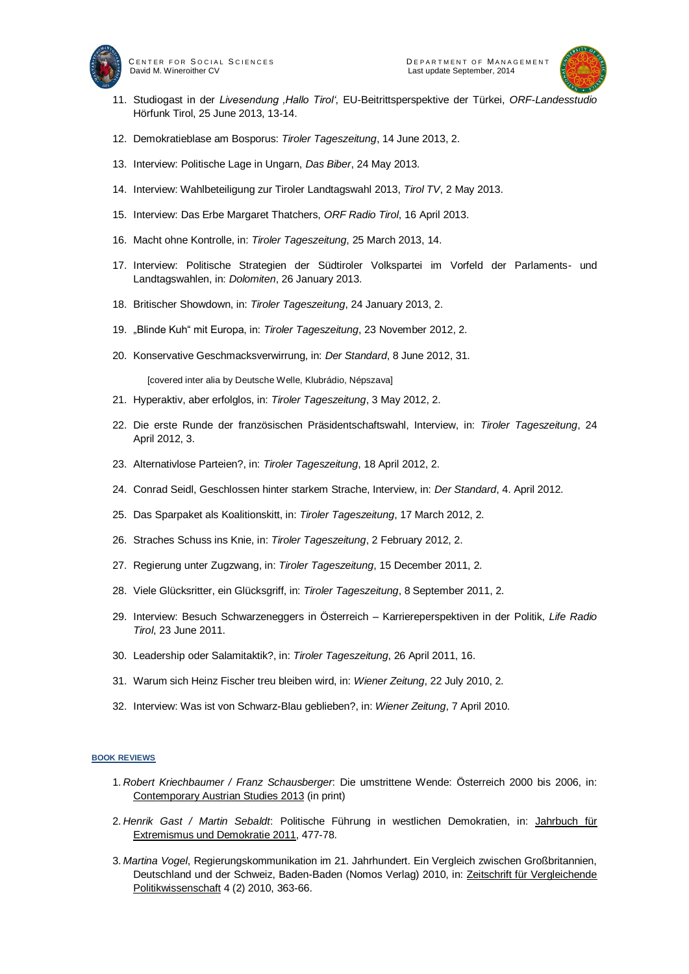



- 11. Studiogast in der *Livesendung 'Hallo Tirol'*, EU-Beitrittsperspektive der Türkei, *ORF-Landesstudio* Hörfunk Tirol, 25 June 2013, 13-14.
- 12. Demokratieblase am Bosporus: *Tiroler Tageszeitung*, 14 June 2013, 2.
- 13. Interview: Politische Lage in Ungarn, *Das Biber*, 24 May 2013.
- 14. Interview: Wahlbeteiligung zur Tiroler Landtagswahl 2013, *Tirol TV*, 2 May 2013.
- 15. Interview: Das Erbe Margaret Thatchers, *ORF Radio Tirol*, 16 April 2013.
- 16. Macht ohne Kontrolle, in: *Tiroler Tageszeitung*, 25 March 2013, 14.
- 17. Interview: Politische Strategien der Südtiroler Volkspartei im Vorfeld der Parlaments- und Landtagswahlen, in: *Dolomiten*, 26 January 2013.
- 18. Britischer Showdown, in: *Tiroler Tageszeitung*, 24 January 2013, 2.
- 19. "Blinde Kuh" mit Europa, in: *Tiroler Tageszeitung*, 23 November 2012, 2.
- 20. Konservative Geschmacksverwirrung, in: *Der Standard*, 8 June 2012, 31.

[covered inter alia by Deutsche Welle, Klubrádio, Népszava]

- 21. Hyperaktiv, aber erfolglos, in: *Tiroler Tageszeitung*, 3 May 2012, 2.
- 22. Die erste Runde der französischen Präsidentschaftswahl, Interview, in: *Tiroler Tageszeitung*, 24 April 2012, 3.
- 23. Alternativlose Parteien?, in: *Tiroler Tageszeitung*, 18 April 2012, 2.
- 24. Conrad Seidl, Geschlossen hinter starkem Strache, Interview, in: *Der Standard*, 4. April 2012.
- 25. Das Sparpaket als Koalitionskitt, in: *Tiroler Tageszeitung*, 17 March 2012, 2.
- 26. Straches Schuss ins Knie, in: *Tiroler Tageszeitung*, 2 February 2012, 2.
- 27. Regierung unter Zugzwang, in: *Tiroler Tageszeitung*, 15 December 2011, 2.
- 28. Viele Glücksritter, ein Glücksgriff, in: *Tiroler Tageszeitung*, 8 September 2011, 2.
- 29. Interview: Besuch Schwarzeneggers in Österreich Karriereperspektiven in der Politik, *Life Radio Tirol*, 23 June 2011.
- 30. Leadership oder Salamitaktik?, in: *Tiroler Tageszeitung*, 26 April 2011, 16.
- 31. Warum sich Heinz Fischer treu bleiben wird, in: *Wiener Zeitung*, 22 July 2010, 2.
- 32. Interview: Was ist von Schwarz-Blau geblieben?, in: *Wiener Zeitung*, 7 April 2010.

#### **BOOK REVIEWS**

- 1. *Robert Kriechbaumer / Franz Schausberger*: Die umstrittene Wende: Österreich 2000 bis 2006, in: Contemporary Austrian Studies 2013 (in print)
- 2. *Henrik Gast / Martin Sebaldt*: Politische Führung in westlichen Demokratien, in: Jahrbuch für Extremismus und Demokratie 2011, 477-78.
- 3. *Martina Vogel*, Regierungskommunikation im 21. Jahrhundert. Ein Vergleich zwischen Großbritannien, Deutschland und der Schweiz, Baden-Baden (Nomos Verlag) 2010, in: Zeitschrift für Vergleichende Politikwissenschaft 4 (2) 2010, 363-66.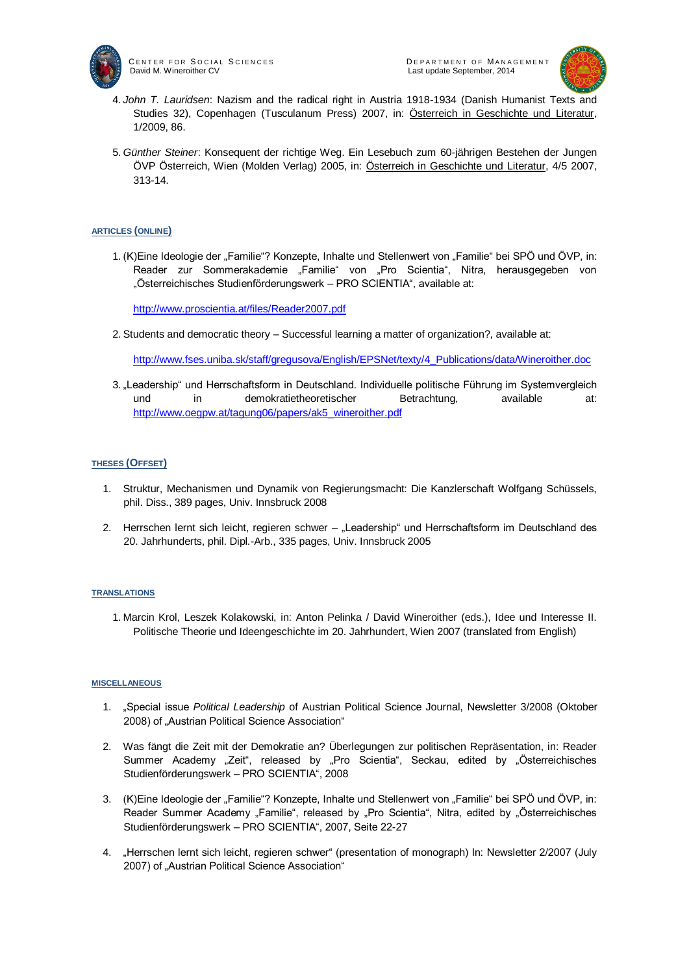

CENTER FOR SOCIAL SCIENCES<br>David M. Wineroither CV CONTERNATION CONTENT DESIGNATION CONTENT DANAGEMENT David M. Wineroither CV



- 4. *John T. Lauridsen*: Nazism and the radical right in Austria 1918-1934 (Danish Humanist Texts and Studies 32), Copenhagen (Tusculanum Press) 2007, in: Österreich in Geschichte und Literatur, 1/2009, 86.
- 5. *Günther Steiner*: Konsequent der richtige Weg. Ein Lesebuch zum 60-jährigen Bestehen der Jungen ÖVP Österreich, Wien (Molden Verlag) 2005, in: Österreich in Geschichte und Literatur, 4/5 2007, 313-14.

#### **ARTICLES (ONLINE)**

1. (K)Eine Ideologie der "Familie"? Konzepte, Inhalte und Stellenwert von "Familie" bei SPÖ und ÖVP, in: Reader zur Sommerakademie "Familie" von "Pro Scientia", Nitra, herausgegeben von "Österreichisches Studienförderungswerk – PRO SCIENTIA", available at:

<http://www.proscientia.at/files/Reader2007.pdf>

2. Students and democratic theory – Successful learning a matter of organization?, available at:

[http://www.fses.uniba.sk/staff/gregusova/English/EPSNet/texty/4\\_Publications/data/Wineroither.doc](http://www.fses.uniba.sk/staff/gregusova/English/EPSNet/texty/4_Publications/data/Wineroither.doc)

3. "Leadership" und Herrschaftsform in Deutschland. Individuelle politische Führung im Systemvergleich und in demokratietheoretischer Betrachtung, available at: [http://www.oegpw.at/tagung06/papers/ak5\\_wineroither.pdf](http://www.oegpw.at/tagung06/papers/ak5_wineroither.pdf)

### **THESES (OFFSET)**

- 1. Struktur, Mechanismen und Dynamik von Regierungsmacht: Die Kanzlerschaft Wolfgang Schüssels, phil. Diss., 389 pages, Univ. Innsbruck 2008
- 2. Herrschen lernt sich leicht, regieren schwer "Leadership" und Herrschaftsform im Deutschland des 20. Jahrhunderts, phil. Dipl.-Arb., 335 pages, Univ. Innsbruck 2005

#### **TRANSLATIONS**

1. Marcin Krol, Leszek Kolakowski, in: Anton Pelinka / David Wineroither (eds.), Idee und Interesse II. Politische Theorie und Ideengeschichte im 20. Jahrhundert, Wien 2007 (translated from English)

#### **MISCELLANEOUS**

- 1. "Special issue *Political Leadership* of Austrian Political Science Journal, Newsletter 3/2008 (Oktober 2008) of "Austrian Political Science Association"
- 2. Was fängt die Zeit mit der Demokratie an? Überlegungen zur politischen Repräsentation, in: Reader Summer Academy "Zeit", released by "Pro Scientia", Seckau, edited by "Österreichisches Studienförderungswerk – PRO SCIENTIA", 2008
- 3. (K)Eine Ideologie der "Familie"? Konzepte, Inhalte und Stellenwert von "Familie" bei SPÖ und ÖVP, in: Reader Summer Academy "Familie", released by "Pro Scientia", Nitra, edited by "Österreichisches Studienförderungswerk – PRO SCIENTIA", 2007, Seite 22-27
- 4. "Herrschen lernt sich leicht, regieren schwer" (presentation of monograph) In: Newsletter 2/2007 (July 2007) of "Austrian Political Science Association"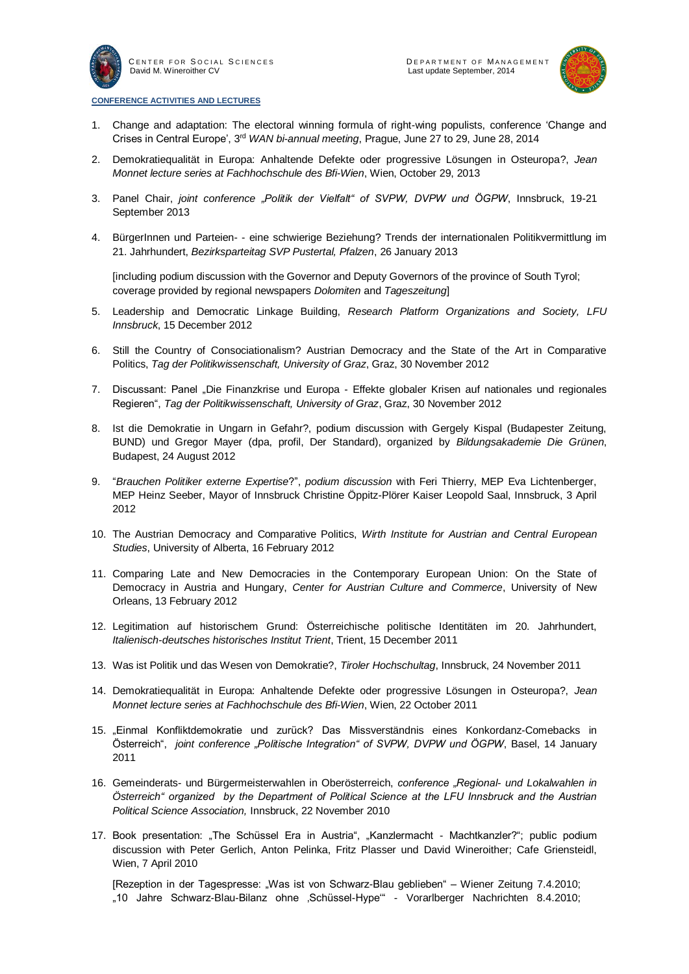

<sup>C</sup> E N T E R F O R <sup>S</sup> O C I A L <sup>S</sup> C I E N C E S <sup>D</sup> E P A R T M E N T O F <sup>M</sup> A N A G E M E N T



#### **CONFERENCE ACTIVITIES AND LECTURES**

- 1. Change and adaptation: The electoral winning formula of right-wing populists, conference 'Change and Crises in Central Europe', 3<sup>rd</sup> WAN bi-annual meeting, Prague, June 27 to 29, June 28, 2014
- 2. Demokratiequalität in Europa: Anhaltende Defekte oder progressive Lösungen in Osteuropa?, *Jean Monnet lecture series at Fachhochschule des Bfi-Wien*, Wien, October 29, 2013
- 3. Panel Chair, *joint conference "Politik der Vielfalt" of SVPW, DVPW und ÖGPW*, Innsbruck, 19-21 September 2013
- 4. BürgerInnen und Parteien- eine schwierige Beziehung? Trends der internationalen Politikvermittlung im 21. Jahrhundert, *Bezirksparteitag SVP Pustertal, Pfalzen*, 26 January 2013

[including podium discussion with the Governor and Deputy Governors of the province of South Tyrol; coverage provided by regional newspapers *Dolomiten* and *Tageszeitung*]

- 5. Leadership and Democratic Linkage Building, *Research Platform Organizations and Society, LFU Innsbruck*, 15 December 2012
- 6. Still the Country of Consociationalism? Austrian Democracy and the State of the Art in Comparative Politics, *Tag der Politikwissenschaft, University of Graz*, Graz, 30 November 2012
- 7. Discussant: Panel "Die Finanzkrise und Europa Effekte globaler Krisen auf nationales und regionales Regieren", *Tag der Politikwissenschaft, University of Graz*, Graz, 30 November 2012
- 8. Ist die Demokratie in Ungarn in Gefahr?, podium discussion with Gergely Kispal (Budapester Zeitung, BUND) und Gregor Mayer (dpa, profil, Der Standard), organized by *Bildungsakademie Die Grünen*, Budapest, 24 August 2012
- 9. "*Brauchen Politiker externe Expertise*?", *podium discussion* with Feri Thierry, MEP Eva Lichtenberger, MEP Heinz Seeber, Mayor of Innsbruck Christine Öppitz-Plörer Kaiser Leopold Saal, Innsbruck, 3 April 2012
- 10. The Austrian Democracy and Comparative Politics, *Wirth Institute for Austrian and Central European Studies*, University of Alberta, 16 February 2012
- 11. Comparing Late and New Democracies in the Contemporary European Union: On the State of Democracy in Austria and Hungary, *Center for Austrian Culture and Commerce*, University of New Orleans, 13 February 2012
- 12. Legitimation auf historischem Grund: Österreichische politische Identitäten im 20. Jahrhundert, *Italienisch-deutsches historisches Institut Trient*, Trient, 15 December 2011
- 13. Was ist Politik und das Wesen von Demokratie?, *Tiroler Hochschultag*, Innsbruck, 24 November 2011
- 14. Demokratiequalität in Europa: Anhaltende Defekte oder progressive Lösungen in Osteuropa?, *Jean Monnet lecture series at Fachhochschule des Bfi-Wien*, Wien, 22 October 2011
- 15. "Einmal Konfliktdemokratie und zurück? Das Missverständnis eines Konkordanz-Comebacks in Österreich", *joint conference "Politische Integration" of SVPW, DVPW und ÖGPW*, Basel, 14 January 2011
- 16. Gemeinderats- und Bürgermeisterwahlen in Oberösterreich, *conference "Regional- und Lokalwahlen in Österreich" organized by the Department of Political Science at the LFU Innsbruck and the Austrian Political Science Association,* Innsbruck, 22 November 2010
- 17. Book presentation: "The Schüssel Era in Austria", "Kanzlermacht Machtkanzler?"; public podium discussion with Peter Gerlich, Anton Pelinka, Fritz Plasser und David Wineroither; Cafe Griensteidl, Wien, 7 April 2010

[Rezeption in der Tagespresse: "Was ist von Schwarz-Blau geblieben" – Wiener Zeitung 7.4.2010; "10 Jahre Schwarz-Blau-Bilanz ohne 'Schüssel-Hype'" - Vorarlberger Nachrichten 8.4.2010;